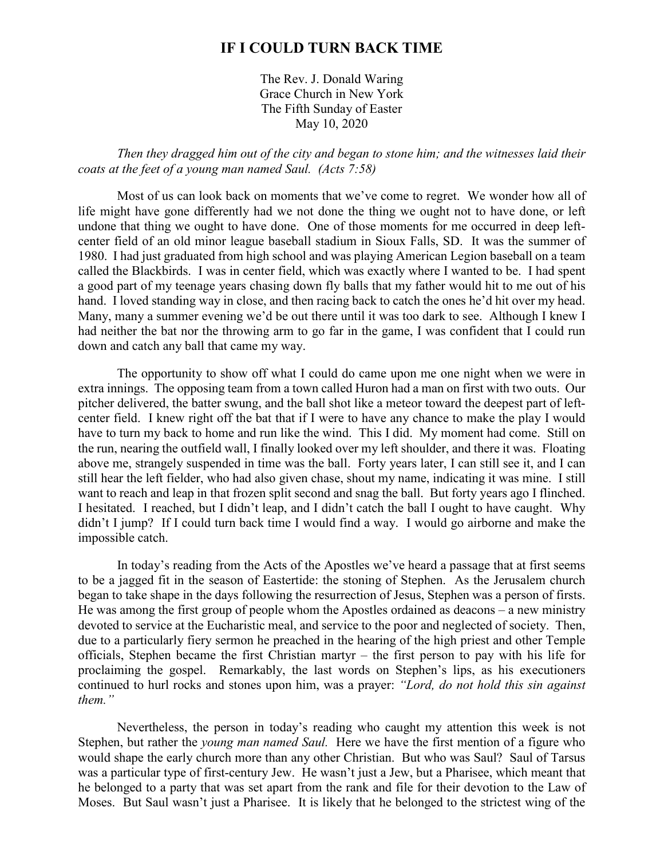## **IF I COULD TURN BACK TIME**

The Rev. J. Donald Waring Grace Church in New York The Fifth Sunday of Easter May 10, 2020

*Then they dragged him out of the city and began to stone him; and the witnesses laid their coats at the feet of a young man named Saul. (Acts 7:58)*

Most of us can look back on moments that we've come to regret. We wonder how all of life might have gone differently had we not done the thing we ought not to have done, or left undone that thing we ought to have done. One of those moments for me occurred in deep leftcenter field of an old minor league baseball stadium in Sioux Falls, SD. It was the summer of 1980. I had just graduated from high school and was playing American Legion baseball on a team called the Blackbirds. I was in center field, which was exactly where I wanted to be. I had spent a good part of my teenage years chasing down fly balls that my father would hit to me out of his hand. I loved standing way in close, and then racing back to catch the ones he'd hit over my head. Many, many a summer evening we'd be out there until it was too dark to see. Although I knew I had neither the bat nor the throwing arm to go far in the game, I was confident that I could run down and catch any ball that came my way.

The opportunity to show off what I could do came upon me one night when we were in extra innings. The opposing team from a town called Huron had a man on first with two outs. Our pitcher delivered, the batter swung, and the ball shot like a meteor toward the deepest part of leftcenter field. I knew right off the bat that if I were to have any chance to make the play I would have to turn my back to home and run like the wind. This I did. My moment had come. Still on the run, nearing the outfield wall, I finally looked over my left shoulder, and there it was. Floating above me, strangely suspended in time was the ball. Forty years later, I can still see it, and I can still hear the left fielder, who had also given chase, shout my name, indicating it was mine. I still want to reach and leap in that frozen split second and snag the ball. But forty years ago I flinched. I hesitated. I reached, but I didn't leap, and I didn't catch the ball I ought to have caught. Why didn't I jump? If I could turn back time I would find a way. I would go airborne and make the impossible catch.

In today's reading from the Acts of the Apostles we've heard a passage that at first seems to be a jagged fit in the season of Eastertide: the stoning of Stephen. As the Jerusalem church began to take shape in the days following the resurrection of Jesus, Stephen was a person of firsts. He was among the first group of people whom the Apostles ordained as deacons – a new ministry devoted to service at the Eucharistic meal, and service to the poor and neglected of society. Then, due to a particularly fiery sermon he preached in the hearing of the high priest and other Temple officials, Stephen became the first Christian martyr – the first person to pay with his life for proclaiming the gospel. Remarkably, the last words on Stephen's lips, as his executioners continued to hurl rocks and stones upon him, was a prayer: *"Lord, do not hold this sin against them."* 

Nevertheless, the person in today's reading who caught my attention this week is not Stephen, but rather the *young man named Saul.* Here we have the first mention of a figure who would shape the early church more than any other Christian. But who was Saul? Saul of Tarsus was a particular type of first-century Jew. He wasn't just a Jew, but a Pharisee, which meant that he belonged to a party that was set apart from the rank and file for their devotion to the Law of Moses. But Saul wasn't just a Pharisee. It is likely that he belonged to the strictest wing of the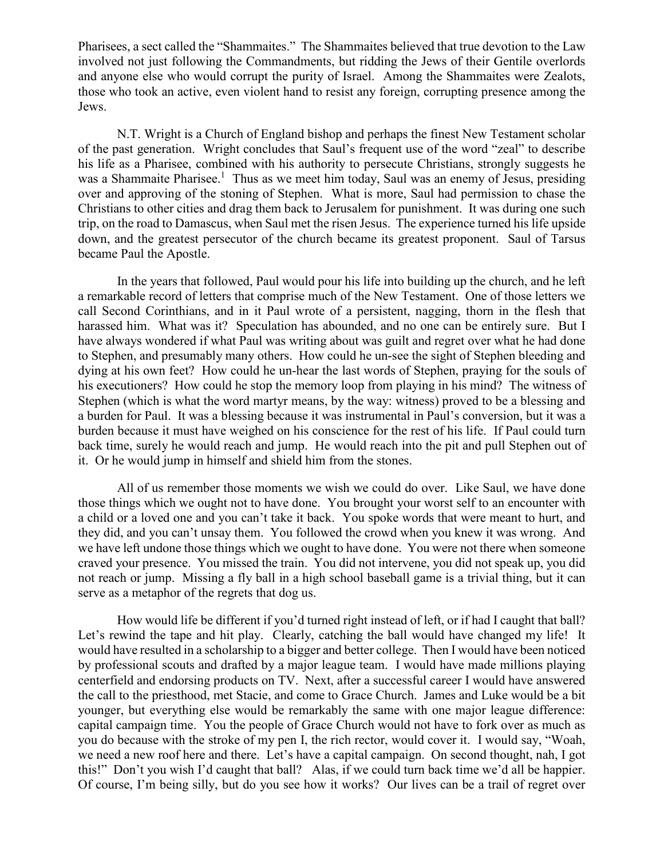Pharisees, a sect called the "Shammaites." The Shammaites believed that true devotion to the Law involved not just following the Commandments, but ridding the Jews of their Gentile overlords and anyone else who would corrupt the purity of Israel. Among the Shammaites were Zealots, those who took an active, even violent hand to resist any foreign, corrupting presence among the Jews.

N.T. Wright is a Church of England bishop and perhaps the finest New Testament scholar of the past generation. Wright concludes that Saul's frequent use of the word "zeal" to describe his life as a Pharisee, combined with his authority to persecute Christians, strongly suggests he was a Shammaite Pharisee.<sup>1</sup> Thus as we meet him today, Saul was an enemy of Jesus, presiding over and approving of the stoning of Stephen. What is more, Saul had permission to chase the Christians to other cities and drag them back to Jerusalem for punishment. It was during one such trip, on the road to Damascus, when Saul met the risen Jesus. The experience turned his life upside down, and the greatest persecutor of the church became its greatest proponent. Saul of Tarsus became Paul the Apostle.

In the years that followed, Paul would pour his life into building up the church, and he left a remarkable record of letters that comprise much of the New Testament. One of those letters we call Second Corinthians, and in it Paul wrote of a persistent, nagging, thorn in the flesh that harassed him. What was it? Speculation has abounded, and no one can be entirely sure. But I have always wondered if what Paul was writing about was guilt and regret over what he had done to Stephen, and presumably many others. How could he un-see the sight of Stephen bleeding and dying at his own feet? How could he un-hear the last words of Stephen, praying for the souls of his executioners? How could he stop the memory loop from playing in his mind? The witness of Stephen (which is what the word martyr means, by the way: witness) proved to be a blessing and a burden for Paul. It was a blessing because it was instrumental in Paul's conversion, but it was a burden because it must have weighed on his conscience for the rest of his life. If Paul could turn back time, surely he would reach and jump. He would reach into the pit and pull Stephen out of it. Or he would jump in himself and shield him from the stones.

All of us remember those moments we wish we could do over. Like Saul, we have done those things which we ought not to have done. You brought your worst self to an encounter with a child or a loved one and you can't take it back. You spoke words that were meant to hurt, and they did, and you can't unsay them. You followed the crowd when you knew it was wrong. And we have left undone those things which we ought to have done. You were not there when someone craved your presence. You missed the train. You did not intervene, you did not speak up, you did not reach or jump. Missing a fly ball in a high school baseball game is a trivial thing, but it can serve as a metaphor of the regrets that dog us.

How would life be different if you'd turned right instead of left, or if had I caught that ball? Let's rewind the tape and hit play. Clearly, catching the ball would have changed my life! It would have resulted in a scholarship to a bigger and better college. Then I would have been noticed by professional scouts and drafted by a major league team. I would have made millions playing centerfield and endorsing products on TV. Next, after a successful career I would have answered the call to the priesthood, met Stacie, and come to Grace Church. James and Luke would be a bit younger, but everything else would be remarkably the same with one major league difference: capital campaign time. You the people of Grace Church would not have to fork over as much as you do because with the stroke of my pen I, the rich rector, would cover it. I would say, "Woah, we need a new roof here and there. Let's have a capital campaign. On second thought, nah, I got this!" Don't you wish I'd caught that ball? Alas, if we could turn back time we'd all be happier. Of course, I'm being silly, but do you see how it works? Our lives can be a trail of regret over